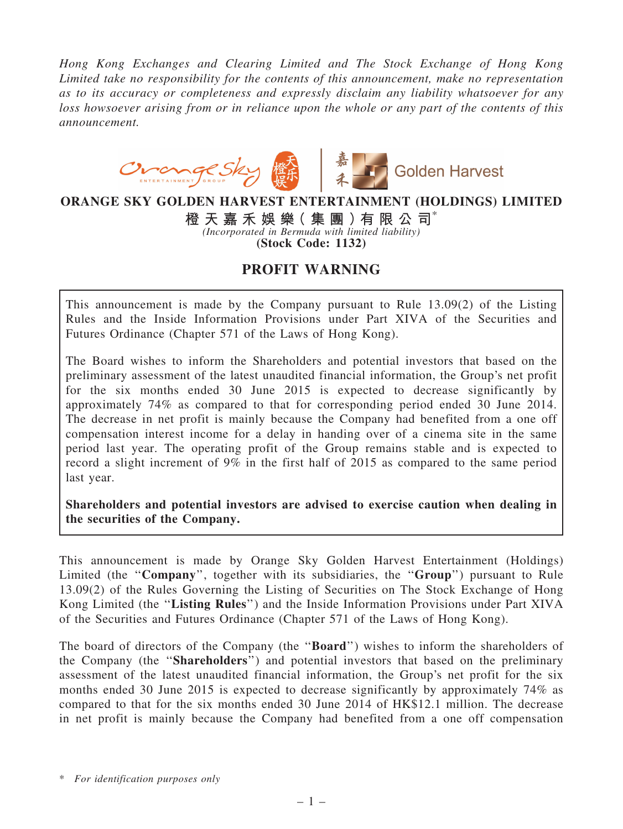*Hong Kong Exchanges and Clearing Limited and The Stock Exchange of Hong Kong Limited take no responsibility for the contents of this announcement, make no representation as to its accuracy or completeness and expressly disclaim any liability whatsoever for any loss howsoever arising from or in reliance upon the whole or any part of the contents of this announcement.*



## ORANGE SKY GOLDEN HARVEST ENTERTAINMENT (HOLDINGS) LIMITED

橙 天 嘉 禾 娛 樂( 集 團 )有 限 公 司\* *(Incorporated in Bermuda with limited liability)* (Stock Code: 1132)

## PROFIT WARNING

This announcement is made by the Company pursuant to Rule 13.09(2) of the Listing Rules and the Inside Information Provisions under Part XIVA of the Securities and Futures Ordinance (Chapter 571 of the Laws of Hong Kong).

The Board wishes to inform the Shareholders and potential investors that based on the preliminary assessment of the latest unaudited financial information, the Group's net profit for the six months ended 30 June 2015 is expected to decrease significantly by approximately 74% as compared to that for corresponding period ended 30 June 2014. The decrease in net profit is mainly because the Company had benefited from a one off compensation interest income for a delay in handing over of a cinema site in the same period last year. The operating profit of the Group remains stable and is expected to record a slight increment of 9% in the first half of 2015 as compared to the same period last year.

Shareholders and potential investors are advised to exercise caution when dealing in the securities of the Company.

This announcement is made by Orange Sky Golden Harvest Entertainment (Holdings) Limited (the "Company", together with its subsidiaries, the "Group") pursuant to Rule 13.09(2) of the Rules Governing the Listing of Securities on The Stock Exchange of Hong Kong Limited (the "Listing Rules") and the Inside Information Provisions under Part XIVA of the Securities and Futures Ordinance (Chapter 571 of the Laws of Hong Kong).

The board of directors of the Company (the ''Board'') wishes to inform the shareholders of the Company (the ''Shareholders'') and potential investors that based on the preliminary assessment of the latest unaudited financial information, the Group's net profit for the six months ended 30 June 2015 is expected to decrease significantly by approximately 74% as compared to that for the six months ended 30 June 2014 of HK\$12.1 million. The decrease in net profit is mainly because the Company had benefited from a one off compensation

\* *For identification purposes only*